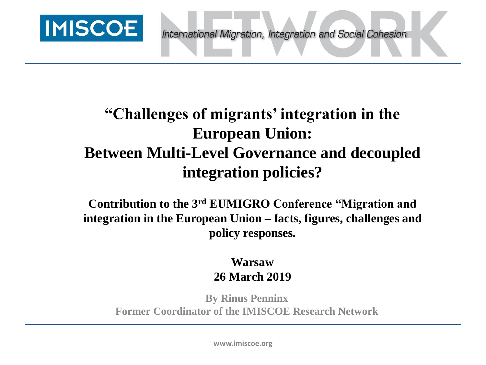

# **"Challenges of migrants' integration in the European Union: Between Multi-Level Governance and decoupled integration policies?**

**Contribution to the 3rd EUMIGRO Conference "Migration and integration in the European Union – facts, figures, challenges and policy responses.** 

#### **Warsaw 26 March 2019**

**By Rinus Penninx Former Coordinator of the IMISCOE Research Network**

**www.imiscoe.org**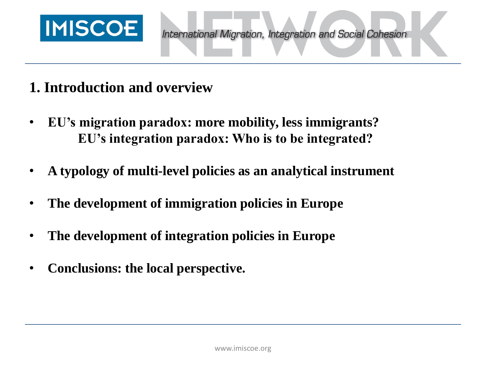

## **1. Introduction and overview**

- **EU's migration paradox: more mobility, less immigrants? EU's integration paradox: Who is to be integrated?**
- **A typology of multi-level policies as an analytical instrument**
- **The development of immigration policies in Europe**
- **The development of integration policies in Europe**
- **Conclusions: the local perspective.**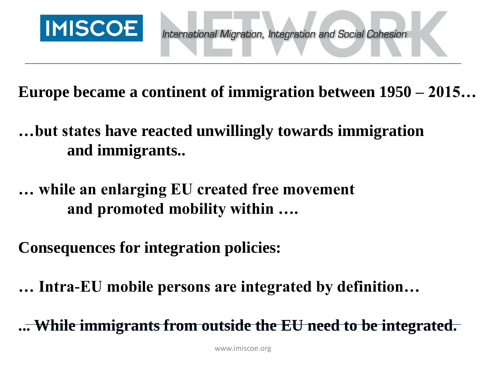

**Europe became a continent of immigration between 1950 – 2015…**

**…but states have reacted unwillingly towards immigration and immigrants..** 

**… while an enlarging EU created free movement and promoted mobility within ….**

**Consequences for integration policies:**

**… Intra-EU mobile persons are integrated by definition…** 

**... While immigrants from outside the EU need to be integrated.**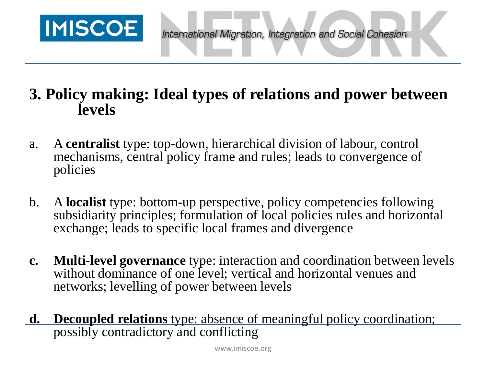

## **3. Policy making: Ideal types of relations and power between levels**

- a. A **centralist** type: top-down, hierarchical division of labour, control mechanisms, central policy frame and rules; leads to convergence of policies
- b. A **localist** type: bottom-up perspective, policy competencies following subsidiarity principles; formulation of local policies rules and horizontal exchange; leads to specific local frames and divergence
- **c. Multi-level governance** type: interaction and coordination between levels without dominance of one level; vertical and horizontal venues and networks; levelling of power between levels
- **d. Decoupled relations** type: absence of meaningful policy coordination; possibly contradictory and conflicting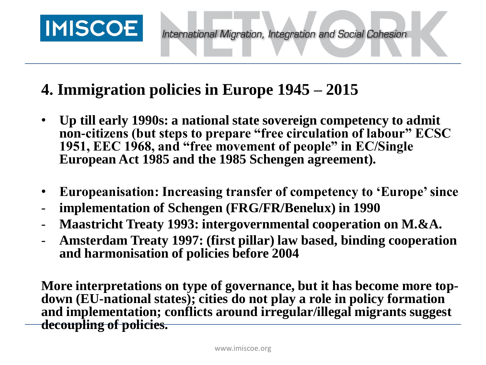

# **4. Immigration policies in Europe 1945 – 2015**

- **Up till early 1990s: a national state sovereign competency to admit non-citizens (but steps to prepare "free circulation of labour" ECSC 1951, EEC 1968, and "free movement of people" in EC/Single European Act 1985 and the 1985 Schengen agreement).**
- **Europeanisation: Increasing transfer of competency to 'Europe' since**
- **implementation of Schengen (FRG/FR/Benelux) in 1990**
- **Maastricht Treaty 1993: intergovernmental cooperation on M.&A.**
- **Amsterdam Treaty 1997: (first pillar) law based, binding cooperation and harmonisation of policies before 2004**

**More interpretations on type of governance, but it has become more topdown (EU-national states); cities do not play a role in policy formation and implementation; conflicts around irregular/illegal migrants suggest decoupling of policies.**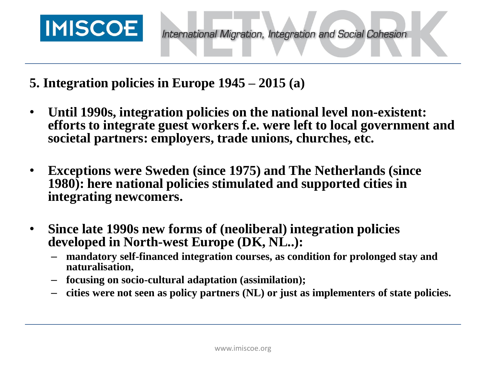

- **5. Integration policies in Europe 1945 – 2015 (a)**
- **Until 1990s, integration policies on the national level non-existent: efforts to integrate guest workers f.e. were left to local government and societal partners: employers, trade unions, churches, etc.**
- **Exceptions were Sweden (since 1975) and The Netherlands (since 1980): here national policies stimulated and supported cities in integrating newcomers.**
- **Since late 1990s new forms of (neoliberal) integration policies developed in North-west Europe (DK, NL..):** 
	- **mandatory self-financed integration courses, as condition for prolonged stay and naturalisation,**
	- **focusing on socio-cultural adaptation (assimilation);**
	- **cities were not seen as policy partners (NL) or just as implementers of state policies.**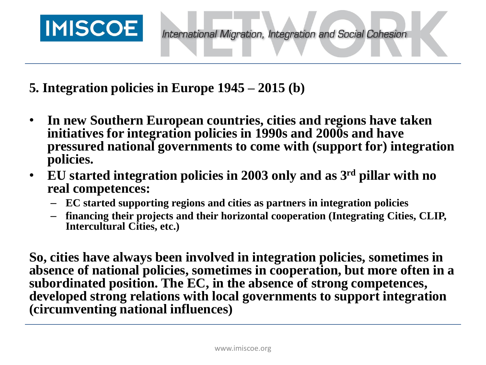

- **5. Integration policies in Europe 1945 – 2015 (b)**
- **In new Southern European countries, cities and regions have taken initiatives for integration policies in 1990s and 2000s and have pressured national governments to come with (support for) integration policies.**
- **EU started integration policies in 2003 only and as 3rd pillar with no real competences:** 
	- **EC started supporting regions and cities as partners in integration policies**
	- **financing their projects and their horizontal cooperation (Integrating Cities, CLIP, Intercultural Cities, etc.)**

**So, cities have always been involved in integration policies, sometimes in absence of national policies, sometimes in cooperation, but more often in a subordinated position. The EC, in the absence of strong competences, developed strong relations with local governments to support integration (circumventing national influences)**